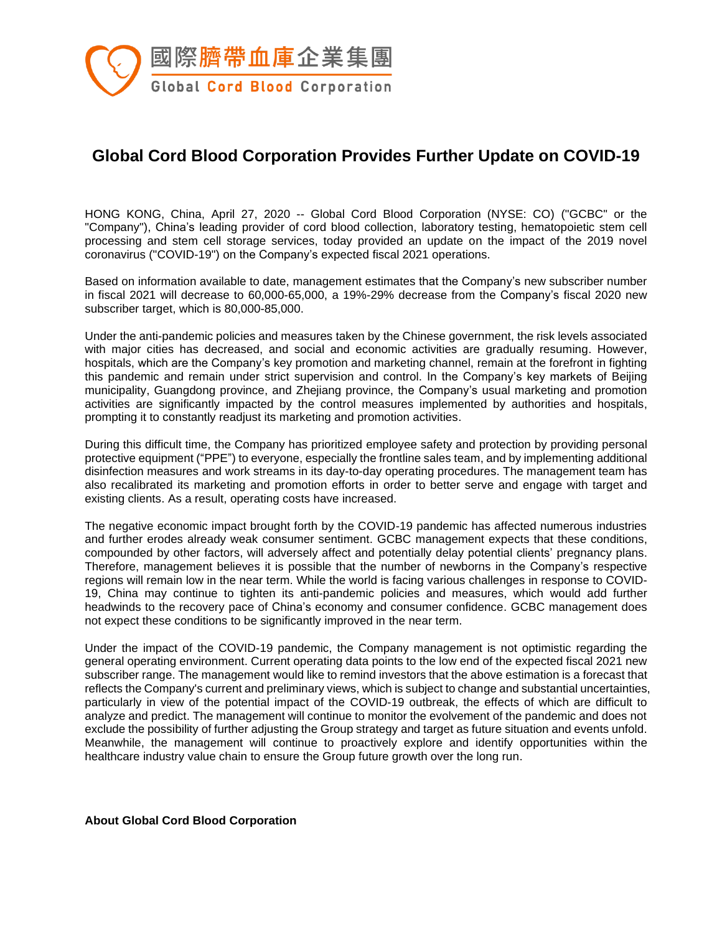

## **Global Cord Blood Corporation Provides Further Update on COVID-19**

HONG KONG, China, April 27, 2020 -- Global Cord Blood Corporation (NYSE: CO) ("GCBC" or the "Company"), China's leading provider of cord blood collection, laboratory testing, hematopoietic stem cell processing and stem cell storage services, today provided an update on the impact of the 2019 novel coronavirus ("COVID-19") on the Company's expected fiscal 2021 operations.

Based on information available to date, management estimates that the Company's new subscriber number in fiscal 2021 will decrease to 60,000-65,000, a 19%-29% decrease from the Company's fiscal 2020 new subscriber target, which is 80,000-85,000.

Under the anti-pandemic policies and measures taken by the Chinese government, the risk levels associated with major cities has decreased, and social and economic activities are gradually resuming. However, hospitals, which are the Company's key promotion and marketing channel, remain at the forefront in fighting this pandemic and remain under strict supervision and control. In the Company's key markets of Beijing municipality, Guangdong province, and Zhejiang province, the Company's usual marketing and promotion activities are significantly impacted by the control measures implemented by authorities and hospitals, prompting it to constantly readjust its marketing and promotion activities.

During this difficult time, the Company has prioritized employee safety and protection by providing personal protective equipment ("PPE") to everyone, especially the frontline sales team, and by implementing additional disinfection measures and work streams in its day-to-day operating procedures. The management team has also recalibrated its marketing and promotion efforts in order to better serve and engage with target and existing clients. As a result, operating costs have increased.

The negative economic impact brought forth by the COVID-19 pandemic has affected numerous industries and further erodes already weak consumer sentiment. GCBC management expects that these conditions, compounded by other factors, will adversely affect and potentially delay potential clients' pregnancy plans. Therefore, management believes it is possible that the number of newborns in the Company's respective regions will remain low in the near term. While the world is facing various challenges in response to COVID-19, China may continue to tighten its anti-pandemic policies and measures, which would add further headwinds to the recovery pace of China's economy and consumer confidence. GCBC management does not expect these conditions to be significantly improved in the near term.

Under the impact of the COVID-19 pandemic, the Company management is not optimistic regarding the general operating environment. Current operating data points to the low end of the expected fiscal 2021 new subscriber range. The management would like to remind investors that the above estimation is a forecast that reflects the Company's current and preliminary views, which is subject to change and substantial uncertainties, particularly in view of the potential impact of the COVID-19 outbreak, the effects of which are difficult to analyze and predict. The management will continue to monitor the evolvement of the pandemic and does not exclude the possibility of further adjusting the Group strategy and target as future situation and events unfold. Meanwhile, the management will continue to proactively explore and identify opportunities within the healthcare industry value chain to ensure the Group future growth over the long run.

**About Global Cord Blood Corporation**